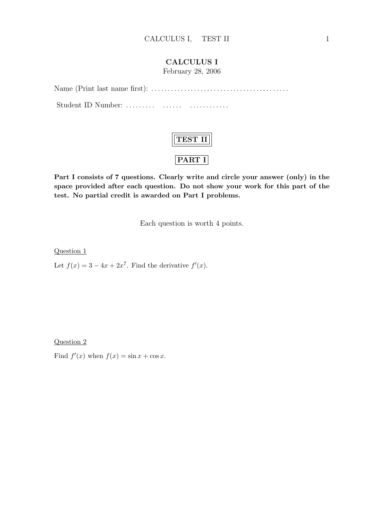## CALCULUS I

February 28, 2006

Name (Print last name first): . . . . . . . . . . . . . . . . . . . . . . . . . . . . . . . . . . . . . . . . . . Student ID Number: ......... ....... ...............



Part I consists of 7 questions. Clearly write and circle your answer (only) in the space provided after each question. Do not show your work for this part of the test. No partial credit is awarded on Part I problems.

Each question is worth 4 points.

Question 1

Let  $f(x) = 3 - 4x + 2x^7$ . Find the derivative  $f'(x)$ .

Question 2

Find  $f'(x)$  when  $f(x) = \sin x + \cos x$ .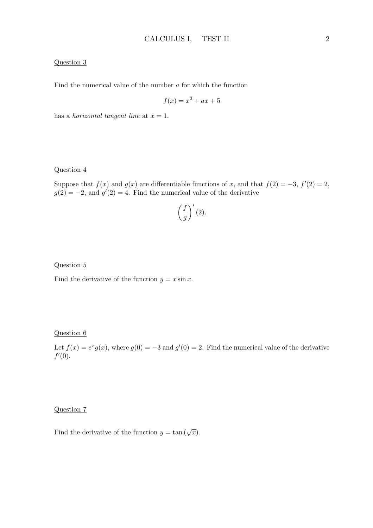### Question 3

Find the numerical value of the number a for which the function

$$
f(x) = x^2 + ax + 5
$$

has a *horizontal tangent line* at  $x = 1$ .

### Question 4

Suppose that  $f(x)$  and  $g(x)$  are differentiable functions of x, and that  $f(2) = -3$ ,  $f'(2) = 2$ ,  $g(2) = -2$ , and  $g'(2) = 4$ . Find the numerical value of the derivative

$$
\left(\frac{f}{g}\right)'(2).
$$

#### Question 5

Find the derivative of the function  $y = x \sin x$ .

### Question 6

Let  $f(x) = e^x g(x)$ , where  $g(0) = -3$  and  $g'(0) = 2$ . Find the numerical value of the derivative  $f'(0)$ .

## Question 7

Find the derivative of the function  $y = \tan(\sqrt{x})$ .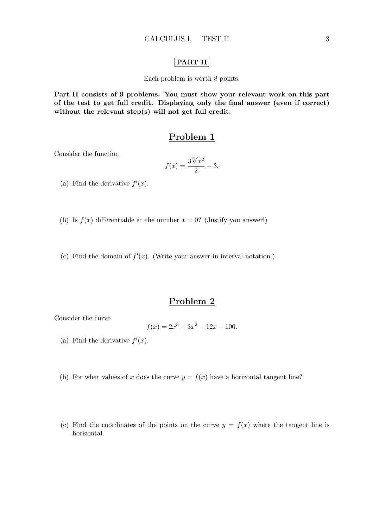### PART II

Each problem is worth 8 points.

Part II consists of 9 problems. You must show your relevant work on this part of the test to get full credit. Displaying only the final answer (even if correct) without the relevant step(s) will not get full credit.

## Problem 1

Consider the function

$$
f(x) = \frac{3\sqrt[3]{x^2}}{2} - 3.
$$

- (a) Find the derivative  $f'(x)$ .
- (b) Is  $f(x)$  differentiable at the number  $x = 0$ ? (Justify you answer!)
- (c) Find the domain of  $f'(x)$ . (Write your answer in interval notation.)

## Problem 2

Consider the curve

$$
f(x) = 2x^3 + 3x^2 - 12x - 100.
$$

- (a) Find the derivative  $f'(x)$ .
- (b) For what values of x does the curve  $y = f(x)$  have a horizontal tangent line?
- (c) Find the coordinates of the points on the curve  $y = f(x)$  where the tangent line is horizontal.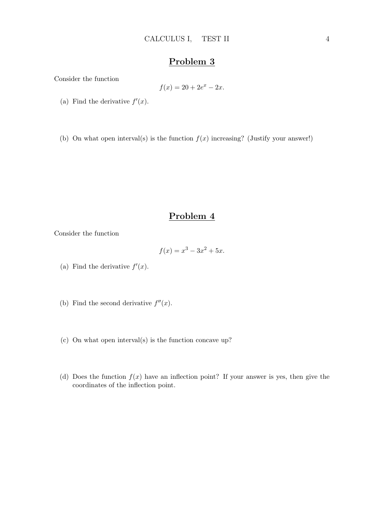Consider the function

$$
f(x) = 20 + 2e^x - 2x.
$$

- (a) Find the derivative  $f'(x)$ .
- (b) On what open interval(s) is the function  $f(x)$  increasing? (Justify your answer!)

## Problem 4

Consider the function

$$
f(x) = x^3 - 3x^2 + 5x.
$$

- (a) Find the derivative  $f'(x)$ .
- (b) Find the second derivative  $f''(x)$ .
- (c) On what open interval(s) is the function concave up?
- (d) Does the function  $f(x)$  have an inflection point? If your answer is yes, then give the coordinates of the inflection point.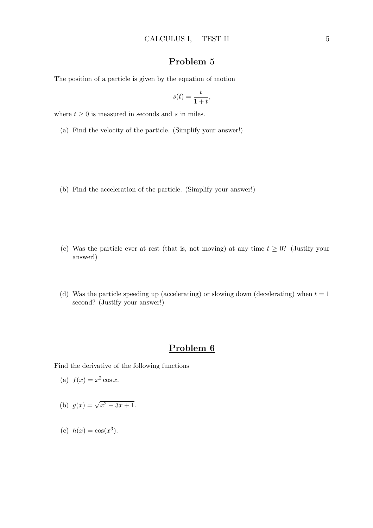The position of a particle is given by the equation of motion

$$
s(t) = \frac{t}{1+t},
$$

where  $t\geq 0$  is measured in seconds and  $s$  in miles.

- (a) Find the velocity of the particle. (Simplify your answer!)
- (b) Find the acceleration of the particle. (Simplify your answer!)
- (c) Was the particle ever at rest (that is, not moving) at any time  $t \geq 0$ ? (Justify your answer!)
- (d) Was the particle speeding up (accelerating) or slowing down (decelerating) when  $t = 1$ second? (Justify your answer!)

## Problem 6

Find the derivative of the following functions

(a) 
$$
f(x) = x^2 \cos x
$$
.

(b) 
$$
g(x) = \sqrt{x^2 - 3x + 1}
$$
.

(c) 
$$
h(x) = \cos(x^3)
$$
.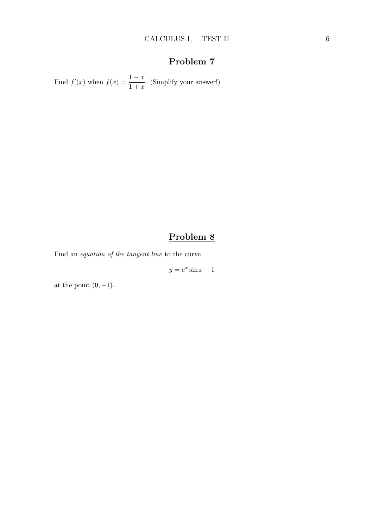Find  $f'(x)$  when  $f(x) = \frac{1-x}{1+x}$ . (Simplify your answer!)

# Problem 8

Find an equation of the tangent line to the curve

 $y = e^x \sin x - 1$ 

at the point  $(0, -1)$ .